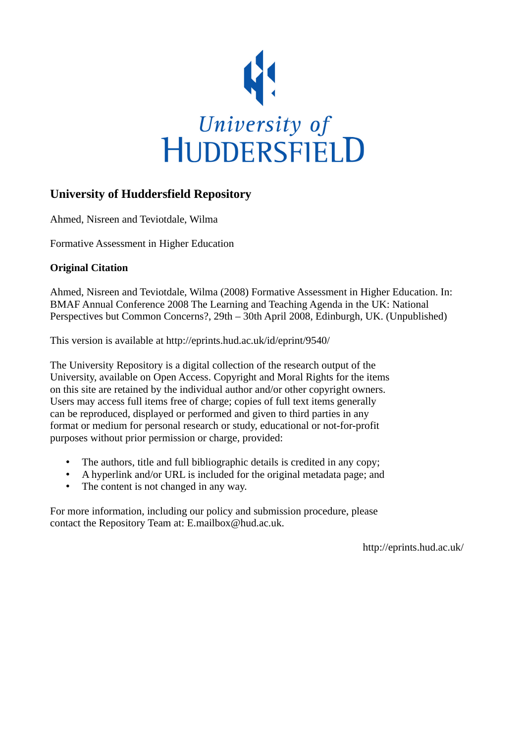

# **University of Huddersfield Repository**

Ahmed, Nisreen and Teviotdale, Wilma

Formative Assessment in Higher Education

# **Original Citation**

Ahmed, Nisreen and Teviotdale, Wilma (2008) Formative Assessment in Higher Education. In: BMAF Annual Conference 2008 The Learning and Teaching Agenda in the UK: National Perspectives but Common Concerns?, 29th – 30th April 2008, Edinburgh, UK. (Unpublished)

This version is available at http://eprints.hud.ac.uk/id/eprint/9540/

The University Repository is a digital collection of the research output of the University, available on Open Access. Copyright and Moral Rights for the items on this site are retained by the individual author and/or other copyright owners. Users may access full items free of charge; copies of full text items generally can be reproduced, displayed or performed and given to third parties in any format or medium for personal research or study, educational or not-for-profit purposes without prior permission or charge, provided:

- The authors, title and full bibliographic details is credited in any copy;
- A hyperlink and/or URL is included for the original metadata page; and
- The content is not changed in any way.

For more information, including our policy and submission procedure, please contact the Repository Team at: E.mailbox@hud.ac.uk.

http://eprints.hud.ac.uk/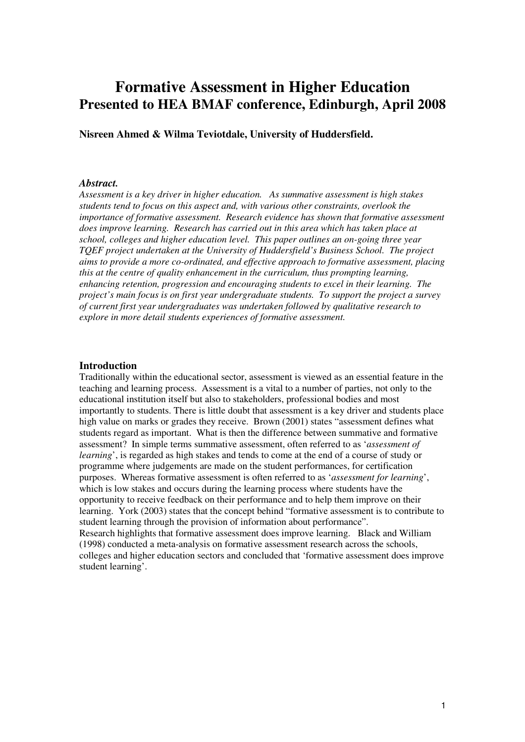# **Formative Assessment in Higher Education Presented to HEA BMAF conference, Edinburgh, April 2008**

**Nisreen Ahmed & Wilma Teviotdale, University of Huddersfield.** 

#### *Abstract.*

*Assessment is a key driver in higher education. As summative assessment is high stakes students tend to focus on this aspect and, with various other constraints, overlook the importance of formative assessment. Research evidence has shown that formative assessment does improve learning. Research has carried out in this area which has taken place at school, colleges and higher education level. This paper outlines an on-going three year TQEF project undertaken at the University of Huddersfield's Business School. The project aims to provide a more co-ordinated, and effective approach to formative assessment, placing this at the centre of quality enhancement in the curriculum, thus prompting learning, enhancing retention, progression and encouraging students to excel in their learning. The project's main focus is on first year undergraduate students. To support the project a survey of current first year undergraduates was undertaken followed by qualitative research to explore in more detail students experiences of formative assessment.* 

#### **Introduction**

Traditionally within the educational sector, assessment is viewed as an essential feature in the teaching and learning process. Assessment is a vital to a number of parties, not only to the educational institution itself but also to stakeholders, professional bodies and most importantly to students. There is little doubt that assessment is a key driver and students place high value on marks or grades they receive. Brown (2001) states "assessment defines what students regard as important. What is then the difference between summative and formative assessment? In simple terms summative assessment, often referred to as '*assessment of learning*', is regarded as high stakes and tends to come at the end of a course of study or programme where judgements are made on the student performances, for certification purposes. Whereas formative assessment is often referred to as '*assessment for learning*', which is low stakes and occurs during the learning process where students have the opportunity to receive feedback on their performance and to help them improve on their learning. York (2003) states that the concept behind "formative assessment is to contribute to student learning through the provision of information about performance". Research highlights that formative assessment does improve learning. Black and William (1998) conducted a meta-analysis on formative assessment research across the schools, colleges and higher education sectors and concluded that 'formative assessment does improve student learning'.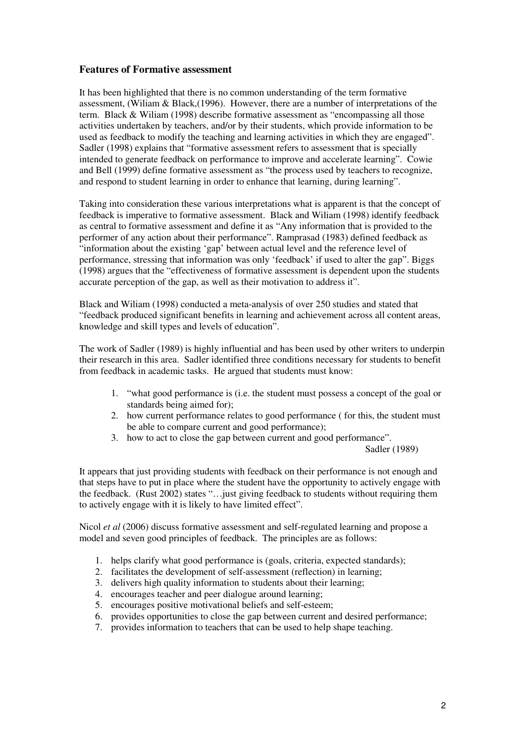# **Features of Formative assessment**

It has been highlighted that there is no common understanding of the term formative assessment, (Wiliam & Black,(1996). However, there are a number of interpretations of the term. Black & Wiliam (1998) describe formative assessment as "encompassing all those activities undertaken by teachers, and/or by their students, which provide information to be used as feedback to modify the teaching and learning activities in which they are engaged". Sadler (1998) explains that "formative assessment refers to assessment that is specially intended to generate feedback on performance to improve and accelerate learning". Cowie and Bell (1999) define formative assessment as "the process used by teachers to recognize, and respond to student learning in order to enhance that learning, during learning".

Taking into consideration these various interpretations what is apparent is that the concept of feedback is imperative to formative assessment. Black and Wiliam (1998) identify feedback as central to formative assessment and define it as "Any information that is provided to the performer of any action about their performance". Ramprasad (1983) defined feedback as "information about the existing 'gap' between actual level and the reference level of performance, stressing that information was only 'feedback' if used to alter the gap". Biggs (1998) argues that the "effectiveness of formative assessment is dependent upon the students accurate perception of the gap, as well as their motivation to address it".

Black and Wiliam (1998) conducted a meta-analysis of over 250 studies and stated that "feedback produced significant benefits in learning and achievement across all content areas, knowledge and skill types and levels of education".

The work of Sadler (1989) is highly influential and has been used by other writers to underpin their research in this area. Sadler identified three conditions necessary for students to benefit from feedback in academic tasks. He argued that students must know:

- 1. "what good performance is (i.e. the student must possess a concept of the goal or standards being aimed for);
- 2. how current performance relates to good performance ( for this, the student must be able to compare current and good performance);
- 3. how to act to close the gap between current and good performance".

Sadler (1989)

It appears that just providing students with feedback on their performance is not enough and that steps have to put in place where the student have the opportunity to actively engage with the feedback. (Rust 2002) states "…just giving feedback to students without requiring them to actively engage with it is likely to have limited effect".

Nicol *et al* (2006) discuss formative assessment and self-regulated learning and propose a model and seven good principles of feedback. The principles are as follows:

- 1. helps clarify what good performance is (goals, criteria, expected standards);
- 2. facilitates the development of self-assessment (reflection) in learning;
- 3. delivers high quality information to students about their learning;
- 4. encourages teacher and peer dialogue around learning;
- 5. encourages positive motivational beliefs and self-esteem;
- 6. provides opportunities to close the gap between current and desired performance;
- 7. provides information to teachers that can be used to help shape teaching.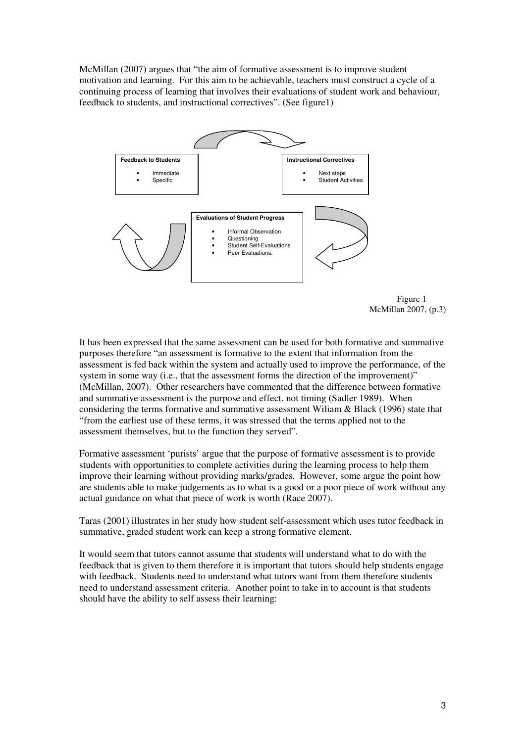McMillan (2007) argues that "the aim of formative assessment is to improve student motivation and learning. For this aim to be achievable, teachers must construct a cycle of a continuing process of learning that involves their evaluations of student work and behaviour, feedback to students, and instructional correctives". (See figure1)





It has been expressed that the same assessment can be used for both formative and summative purposes therefore "an assessment is formative to the extent that information from the assessment is fed back within the system and actually used to improve the performance, of the system in some way (i.e., that the assessment forms the direction of the improvement)" (McMillan, 2007). Other researchers have commented that the difference between formative and summative assessment is the purpose and effect, not timing (Sadler 1989). When considering the terms formative and summative assessment Wiliam & Black (1996) state that "from the earliest use of these terms, it was stressed that the terms applied not to the assessment themselves, but to the function they served".

Formative assessment 'purists' argue that the purpose of formative assessment is to provide students with opportunities to complete activities during the learning process to help them improve their learning without providing marks/grades. However, some argue the point how are students able to make judgements as to what is a good or a poor piece of work without any actual guidance on what that piece of work is worth (Race 2007).

Taras (2001) illustrates in her study how student self-assessment which uses tutor feedback in summative, graded student work can keep a strong formative element.

It would seem that tutors cannot assume that students will understand what to do with the feedback that is given to them therefore it is important that tutors should help students engage with feedback. Students need to understand what tutors want from them therefore students need to understand assessment criteria. Another point to take in to account is that students should have the ability to self assess their learning: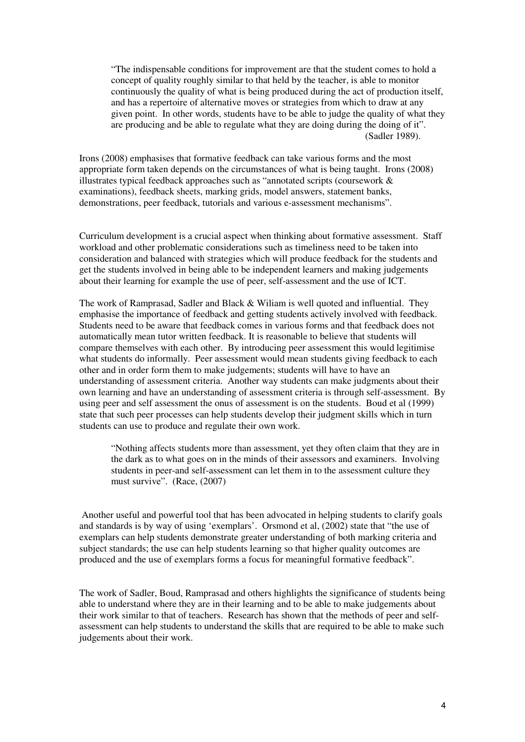"The indispensable conditions for improvement are that the student comes to hold a concept of quality roughly similar to that held by the teacher, is able to monitor continuously the quality of what is being produced during the act of production itself, and has a repertoire of alternative moves or strategies from which to draw at any given point. In other words, students have to be able to judge the quality of what they are producing and be able to regulate what they are doing during the doing of it". (Sadler 1989).

Irons (2008) emphasises that formative feedback can take various forms and the most appropriate form taken depends on the circumstances of what is being taught. Irons (2008) illustrates typical feedback approaches such as "annotated scripts (coursework & examinations), feedback sheets, marking grids, model answers, statement banks, demonstrations, peer feedback, tutorials and various e-assessment mechanisms".

Curriculum development is a crucial aspect when thinking about formative assessment. Staff workload and other problematic considerations such as timeliness need to be taken into consideration and balanced with strategies which will produce feedback for the students and get the students involved in being able to be independent learners and making judgements about their learning for example the use of peer, self-assessment and the use of ICT.

The work of Ramprasad, Sadler and Black & Wiliam is well quoted and influential. They emphasise the importance of feedback and getting students actively involved with feedback. Students need to be aware that feedback comes in various forms and that feedback does not automatically mean tutor written feedback. It is reasonable to believe that students will compare themselves with each other. By introducing peer assessment this would legitimise what students do informally. Peer assessment would mean students giving feedback to each other and in order form them to make judgements; students will have to have an understanding of assessment criteria. Another way students can make judgments about their own learning and have an understanding of assessment criteria is through self-assessment. By using peer and self assessment the onus of assessment is on the students. Boud et al (1999) state that such peer processes can help students develop their judgment skills which in turn students can use to produce and regulate their own work.

"Nothing affects students more than assessment, yet they often claim that they are in the dark as to what goes on in the minds of their assessors and examiners. Involving students in peer-and self-assessment can let them in to the assessment culture they must survive". (Race, (2007)

 Another useful and powerful tool that has been advocated in helping students to clarify goals and standards is by way of using 'exemplars'. Orsmond et al, (2002) state that "the use of exemplars can help students demonstrate greater understanding of both marking criteria and subject standards; the use can help students learning so that higher quality outcomes are produced and the use of exemplars forms a focus for meaningful formative feedback".

The work of Sadler, Boud, Ramprasad and others highlights the significance of students being able to understand where they are in their learning and to be able to make judgements about their work similar to that of teachers. Research has shown that the methods of peer and selfassessment can help students to understand the skills that are required to be able to make such judgements about their work.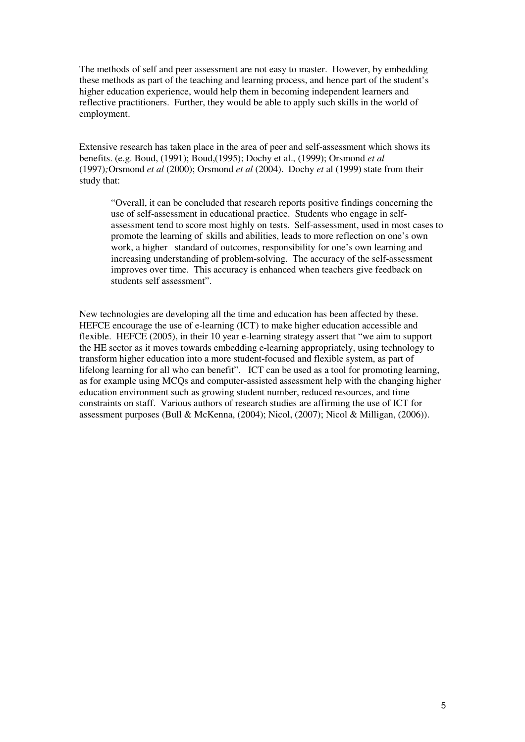The methods of self and peer assessment are not easy to master. However, by embedding these methods as part of the teaching and learning process, and hence part of the student's higher education experience, would help them in becoming independent learners and reflective practitioners. Further, they would be able to apply such skills in the world of employment.

Extensive research has taken place in the area of peer and self-assessment which shows its benefits. (e.g. Boud, (1991); Boud,(1995); Dochy et al., (1999); Orsmond *et al*  (1997)*;*Orsmond *et al* (2000); Orsmond *et al* (2004). Dochy *et* al (1999) state from their study that:

 "Overall, it can be concluded that research reports positive findings concerning the use of self-assessment in educational practice. Students who engage in self assessment tend to score most highly on tests. Self-assessment, used in most cases to promote the learning of skills and abilities, leads to more reflection on one's own work, a higher standard of outcomes, responsibility for one's own learning and increasing understanding of problem-solving. The accuracy of the self-assessment improves over time. This accuracy is enhanced when teachers give feedback on students self assessment".

New technologies are developing all the time and education has been affected by these. HEFCE encourage the use of e-learning (ICT) to make higher education accessible and flexible. HEFCE (2005), in their 10 year e-learning strategy assert that "we aim to support the HE sector as it moves towards embedding e-learning appropriately, using technology to transform higher education into a more student-focused and flexible system, as part of lifelong learning for all who can benefit". ICT can be used as a tool for promoting learning, as for example using MCQs and computer-assisted assessment help with the changing higher education environment such as growing student number, reduced resources, and time constraints on staff. Various authors of research studies are affirming the use of ICT for assessment purposes (Bull & McKenna, (2004); Nicol, (2007); Nicol & Milligan, (2006)).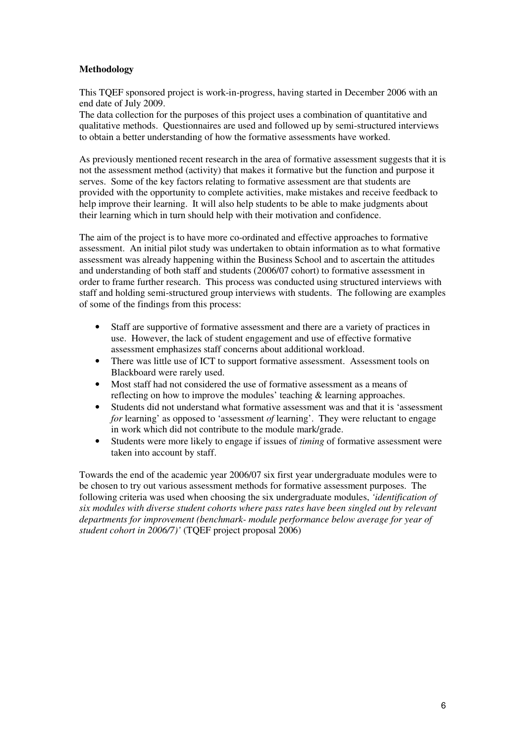# **Methodology**

This TQEF sponsored project is work-in-progress, having started in December 2006 with an end date of July 2009.

The data collection for the purposes of this project uses a combination of quantitative and qualitative methods. Questionnaires are used and followed up by semi-structured interviews to obtain a better understanding of how the formative assessments have worked.

As previously mentioned recent research in the area of formative assessment suggests that it is not the assessment method (activity) that makes it formative but the function and purpose it serves. Some of the key factors relating to formative assessment are that students are provided with the opportunity to complete activities, make mistakes and receive feedback to help improve their learning. It will also help students to be able to make judgments about their learning which in turn should help with their motivation and confidence.

The aim of the project is to have more co-ordinated and effective approaches to formative assessment. An initial pilot study was undertaken to obtain information as to what formative assessment was already happening within the Business School and to ascertain the attitudes and understanding of both staff and students (2006/07 cohort) to formative assessment in order to frame further research. This process was conducted using structured interviews with staff and holding semi-structured group interviews with students. The following are examples of some of the findings from this process:

- Staff are supportive of formative assessment and there are a variety of practices in use. However, the lack of student engagement and use of effective formative assessment emphasizes staff concerns about additional workload.
- There was little use of ICT to support formative assessment. Assessment tools on Blackboard were rarely used.
- Most staff had not considered the use of formative assessment as a means of reflecting on how to improve the modules' teaching & learning approaches.
- Students did not understand what formative assessment was and that it is 'assessment *for* learning' as opposed to 'assessment *of* learning'. They were reluctant to engage in work which did not contribute to the module mark/grade.
- Students were more likely to engage if issues of *timing* of formative assessment were taken into account by staff.

Towards the end of the academic year 2006/07 six first year undergraduate modules were to be chosen to try out various assessment methods for formative assessment purposes. The following criteria was used when choosing the six undergraduate modules, *'identification of six modules with diverse student cohorts where pass rates have been singled out by relevant departments for improvement (benchmark- module performance below average for year of student cohort in 2006/7)'* (TQEF project proposal 2006)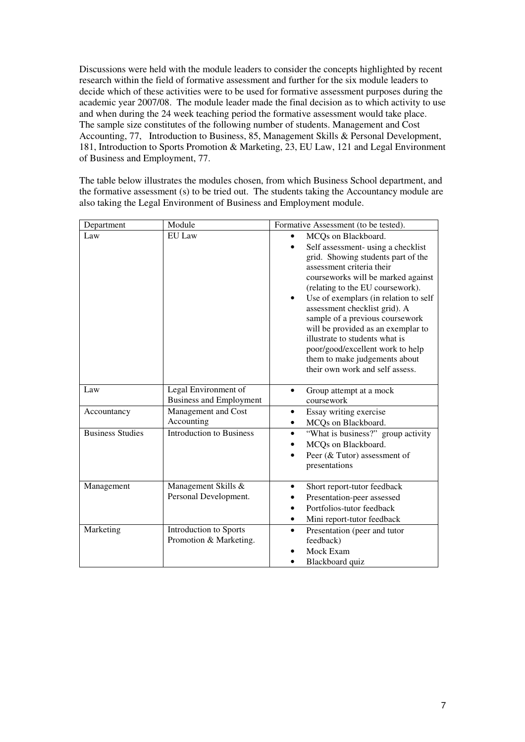Discussions were held with the module leaders to consider the concepts highlighted by recent research within the field of formative assessment and further for the six module leaders to decide which of these activities were to be used for formative assessment purposes during the academic year 2007/08. The module leader made the final decision as to which activity to use and when during the 24 week teaching period the formative assessment would take place. The sample size constitutes of the following number of students. Management and Cost Accounting, 77, Introduction to Business, 85, Management Skills & Personal Development, 181, Introduction to Sports Promotion & Marketing, 23, EU Law, 121 and Legal Environment of Business and Employment, 77.

The table below illustrates the modules chosen, from which Business School department, and the formative assessment (s) to be tried out. The students taking the Accountancy module are also taking the Legal Environment of Business and Employment module.

| Department              | Module                                                 | Formative Assessment (to be tested).                                                                                                                                                                                                                                                                                                                                                                                                                                                                     |
|-------------------------|--------------------------------------------------------|----------------------------------------------------------------------------------------------------------------------------------------------------------------------------------------------------------------------------------------------------------------------------------------------------------------------------------------------------------------------------------------------------------------------------------------------------------------------------------------------------------|
| Law                     | <b>EU</b> Law                                          | MCQs on Blackboard.<br>Self assessment- using a checklist<br>grid. Showing students part of the<br>assessment criteria their<br>courseworks will be marked against<br>(relating to the EU coursework).<br>Use of exemplars (in relation to self<br>٠<br>assessment checklist grid). A<br>sample of a previous coursework<br>will be provided as an exemplar to<br>illustrate to students what is<br>poor/good/excellent work to help<br>them to make judgements about<br>their own work and self assess. |
| Law                     | Legal Environment of<br><b>Business and Employment</b> | Group attempt at a mock<br>$\bullet$<br>coursework                                                                                                                                                                                                                                                                                                                                                                                                                                                       |
| Accountancy             | Management and Cost<br>Accounting                      | Essay writing exercise<br>MCQs on Blackboard.                                                                                                                                                                                                                                                                                                                                                                                                                                                            |
| <b>Business Studies</b> | <b>Introduction to Business</b>                        | "What is business?" group activity<br>$\bullet$<br>MCQs on Blackboard.<br>Peer (& Tutor) assessment of<br>presentations                                                                                                                                                                                                                                                                                                                                                                                  |
| Management              | Management Skills &<br>Personal Development.           | Short report-tutor feedback<br>Presentation-peer assessed<br>Portfolios-tutor feedback<br>Mini report-tutor feedback<br>٠                                                                                                                                                                                                                                                                                                                                                                                |
| Marketing               | Introduction to Sports<br>Promotion & Marketing.       | Presentation (peer and tutor<br>$\bullet$<br>feedback)<br>Mock Exam<br>Blackboard quiz                                                                                                                                                                                                                                                                                                                                                                                                                   |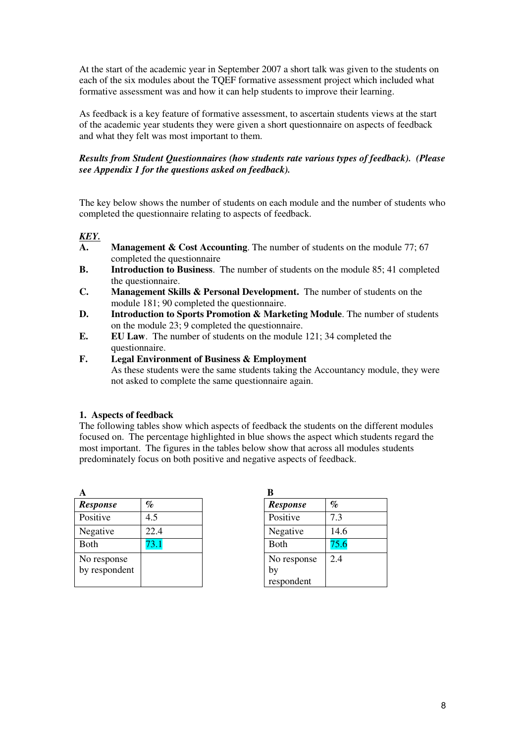At the start of the academic year in September 2007 a short talk was given to the students on each of the six modules about the TQEF formative assessment project which included what formative assessment was and how it can help students to improve their learning.

As feedback is a key feature of formative assessment, to ascertain students views at the start of the academic year students they were given a short questionnaire on aspects of feedback and what they felt was most important to them.

# *Results from Student Questionnaires (how students rate various types of feedback). (Please see Appendix 1 for the questions asked on feedback).*

The key below shows the number of students on each module and the number of students who completed the questionnaire relating to aspects of feedback.

# *KEY.*

- **A. Management & Cost Accounting**. The number of students on the module 77; 67 completed the questionnaire
- **B. Introduction to Business**. The number of students on the module 85; 41 completed the questionnaire.
- **C. Management Skills & Personal Development.** The number of students on the module 181; 90 completed the questionnaire.
- **D. Introduction to Sports Promotion & Marketing Module**. The number of students on the module 23; 9 completed the questionnaire.
- **E. EU Law**. The number of students on the module 121; 34 completed the questionnaire.
- **F. Legal Environment of Business & Employment**  As these students were the same students taking the Accountancy module, they were not asked to complete the same questionnaire again.

### **1. Aspects of feedback**

The following tables show which aspects of feedback the students on the different modules focused on. The percentage highlighted in blue shows the aspect which students regard the most important. The figures in the tables below show that across all modules students predominately focus on both positive and negative aspects of feedback.

| A               |      |                 |      |
|-----------------|------|-----------------|------|
| <b>Response</b> | $\%$ | <b>Response</b> | $\%$ |
| Positive        | 4.5  | Positive        | 73   |
| Negative        | 22.4 | Negative        | 14.6 |
| <b>Both</b>     | '3.1 | <b>B</b> oth    | 75.6 |
| No response     |      | No response     | 2.4  |
| by respondent   |      | by              |      |
|                 |      | respondent      |      |

| . .             |      |
|-----------------|------|
| <b>Response</b> | %    |
| Positive        | 7.3  |
| Negative        | 14.6 |
| <b>Both</b>     | 75.6 |
| No response     | 2.4  |
| by              |      |
| respondent      |      |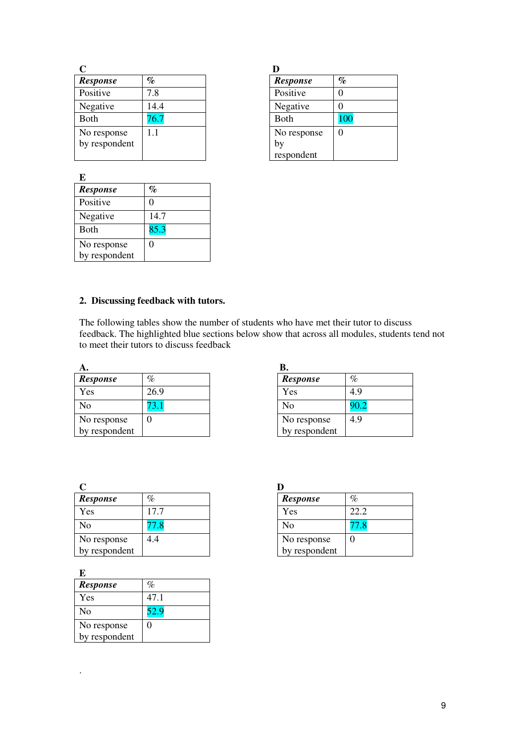| <b>Response</b>              | %    | <b>Response</b>   | $\%$ |
|------------------------------|------|-------------------|------|
| Positive                     | 7.8  | Positive          |      |
| Negative                     | 14.4 | Negative          |      |
| Both                         | 6.7  | <b>Both</b>       | 100  |
| No response<br>by respondent |      | No response<br>by |      |
|                              |      | respondent        |      |

**E** 

*Response %*  Positive 0 Negative 14.7 Both 85.3

No response

| <b>Response</b> | %   |
|-----------------|-----|
| Positive        | 0   |
| Negative        | 0   |
| <b>B</b> oth    | 100 |
| No response     | 0   |
| by              |     |
| respondent      |     |

# by respondent

# **2. Discussing feedback with tutors.**

 $\overline{0}$ 

The following tables show the number of students who have met their tutor to discuss feedback. The highlighted blue sections below show that across all modules, students tend not to meet their tutors to discuss feedback

| A.              |      |                 |      |
|-----------------|------|-----------------|------|
| <b>Response</b> | %    | <b>Response</b> | %    |
| Yes             | 26.9 | Yes             | 4.9  |
| No              | 5.1  | No              | 90.2 |
| No response     |      | No response     | 4.9  |
| by respondent   |      | by respondent   |      |

| D.              |      |
|-----------------|------|
| <b>Response</b> | $\%$ |
| Yes             | 4.9  |
| N <sub>0</sub>  | 90.2 |
| No response     | 4.9  |
| by respondent   |      |

| <b>Response</b> | $\%$ | <b>Response</b> | $\%$ |
|-----------------|------|-----------------|------|
| Yes             | 17.7 | Yes             | 22.2 |
| No              | 7.8  | N <sub>0</sub>  |      |
| No response     | 4.4  | No response     |      |
| by respondent   |      | by respondent   |      |

|  | ı |  |
|--|---|--|
|  |   |  |
|  |   |  |
|  |   |  |
|  |   |  |

.

| E               |      |
|-----------------|------|
| <b>Response</b> | $\%$ |
| Yes             | 47.1 |
| N <sub>0</sub>  | 52.9 |
| No response     | 0    |
| by respondent   |      |

| <b>Response</b> | $\%$ |
|-----------------|------|
| Yes             | 22.2 |
| N <sub>0</sub>  | 77.8 |
| No response     | 0    |
| by respondent   |      |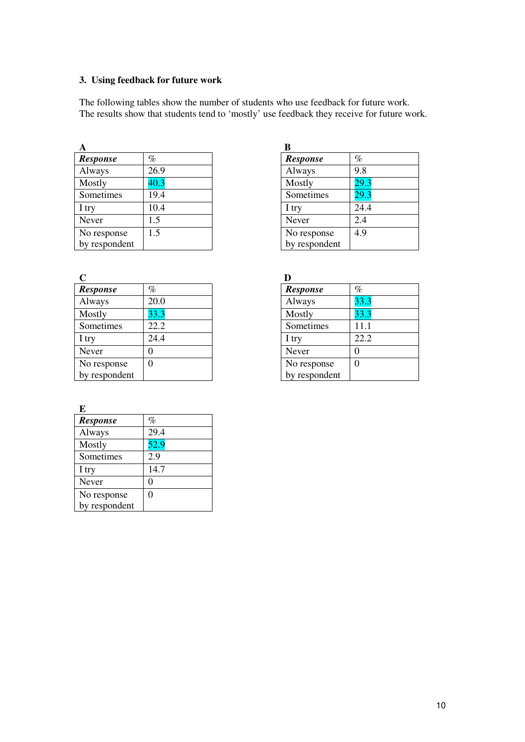# **3. Using feedback for future work**

The following tables show the number of students who use feedback for future work. The results show that students tend to 'mostly' use feedback they receive for future work.

| А               |      | B               |      |
|-----------------|------|-----------------|------|
| <b>Response</b> | %    | <b>Response</b> | $\%$ |
| Always          | 26.9 | Always          | 9.8  |
| Mostly          | 40.3 | Mostly          | 29.3 |
| Sometimes       | 19.4 | Sometimes       | 29.3 |
| I try           | 10.4 | I try           | 24.4 |
| Never           | 1.5  | Never           | 2.4  |
| No response     | 1.5  | No response     | 4.9  |
| by respondent   |      | by respondent   |      |

| C               |      |                 |      |
|-----------------|------|-----------------|------|
| <b>Response</b> | $\%$ | <b>Response</b> | $\%$ |
| Always          | 20.0 | Always          | 33.3 |
| Mostly          | 33.3 | Mostly          | 33.3 |
| Sometimes       | 22.2 | Sometimes       | 11.1 |
| I try           | 24.4 | I try           | 22.2 |
| Never           |      | Never           |      |
| No response     |      | No response     |      |
| by respondent   |      | by respondent   |      |

| <b>Response</b> | $\%$ |
|-----------------|------|
| Always          | 29.4 |
| Mostly          | 52.9 |
| Sometimes       | 2.9  |
| I try           | 14.7 |
| Never           | 0    |
| No response     | 0    |
| by respondent   |      |

| B               |      |
|-----------------|------|
| <b>Response</b> | %    |
| Always          | 9.8  |
| Mostly          | 29.3 |
| Sometimes       | 29.3 |
| I try           | 24.4 |
| Never           | 2.4  |
| No response     | 4.9  |
| by respondent   |      |

| <b>Response</b> | %        |
|-----------------|----------|
| Always          | 33.3     |
| Mostly          | 33.3     |
| Sometimes       | 11.1     |
| I try           | 22.2     |
| Never           |          |
| No response     | $\Omega$ |
| by respondent   |          |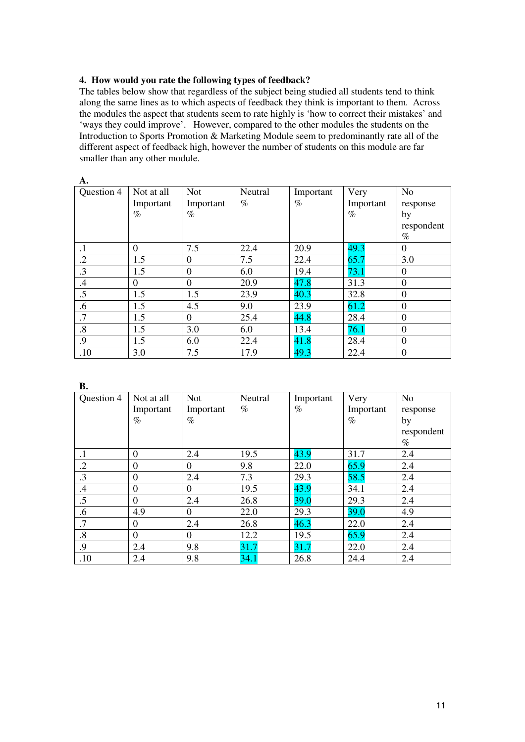# **4. How would you rate the following types of feedback?**

The tables below show that regardless of the subject being studied all students tend to think along the same lines as to which aspects of feedback they think is important to them. Across the modules the aspect that students seem to rate highly is 'how to correct their mistakes' and 'ways they could improve'. However, compared to the other modules the students on the Introduction to Sports Promotion & Marketing Module seem to predominantly rate all of the different aspect of feedback high, however the number of students on this module are far smaller than any other module.

| A.         |                  |            |         |           |           |                  |
|------------|------------------|------------|---------|-----------|-----------|------------------|
| Question 4 | Not at all       | <b>Not</b> | Neutral | Important | Very      | N <sub>o</sub>   |
|            | Important        | Important  | $\%$    | $\%$      | Important | response         |
|            | $\%$             | $\%$       |         |           | $\%$      | by               |
|            |                  |            |         |           |           | respondent       |
|            |                  |            |         |           |           | $\%$             |
| $\cdot$ 1  | $\Omega$         | 7.5        | 22.4    | 20.9      | 49.3      | $\theta$         |
| $\cdot$ .2 | 1.5              | $\Omega$   | 7.5     | 22.4      | 65.7      | 3.0              |
| .3         | 1.5              | $\theta$   | 6.0     | 19.4      | 73.1      | $\Omega$         |
| $\cdot$    | $\boldsymbol{0}$ | $\theta$   | 20.9    | 47.8      | 31.3      | $\theta$         |
| .5         | 1.5              | 1.5        | 23.9    | 40.3      | 32.8      | $\overline{0}$   |
| .6         | 1.5              | 4.5        | 9.0     | 23.9      | 61.2      | $\overline{0}$   |
| .7         | 1.5              | $\Omega$   | 25.4    | 44.8      | 28.4      | $\theta$         |
| $\cdot$ 8  | 1.5              | 3.0        | 6.0     | 13.4      | 76.1      | $\boldsymbol{0}$ |
| .9         | 1.5              | 6.0        | 22.4    | 41.8      | 28.4      | $\overline{0}$   |
| .10        | 3.0              | 7.5        | 17.9    | 49.3      | 22.4      | $\boldsymbol{0}$ |

| В.                |                  |            |         |           |           |                |
|-------------------|------------------|------------|---------|-----------|-----------|----------------|
| Question 4        | Not at all       | <b>Not</b> | Neutral | Important | Very      | N <sub>o</sub> |
|                   | Important        | Important  | $\%$    | $\%$      | Important | response       |
|                   | $\%$             | $\%$       |         |           | $\%$      | by             |
|                   |                  |            |         |           |           | respondent     |
|                   |                  |            |         |           |           | $\%$           |
| $\cdot$ 1         | $\theta$         | 2.4        | 19.5    | 43.9      | 31.7      | 2.4            |
| $\cdot$ .2        | $\boldsymbol{0}$ | $\Omega$   | 9.8     | 22.0      | 65.9      | 2.4            |
| $\cdot$ 3         | $\theta$         | 2.4        | 7.3     | 29.3      | 58.5      | 2.4            |
| $\cdot$ 4         | $\theta$         | $\theta$   | 19.5    | 43.9      | 34.1      | 2.4            |
| .5                | $\boldsymbol{0}$ | 2.4        | 26.8    | 39.0      | 29.3      | 2.4            |
| .6                | 4.9              | $\theta$   | 22.0    | 29.3      | 39.0      | 4.9            |
| .7                | $\Omega$         | 2.4        | 26.8    | 46.3      | 22.0      | 2.4            |
| $\boldsymbol{.8}$ | $\theta$         | $\theta$   | 12.2    | 19.5      | 65.9      | 2.4            |
| .9                | 2.4              | 9.8        | 31.7    | 31.7      | 22.0      | 2.4            |
| .10               | 2.4              | 9.8        | 34.1    | 26.8      | 24.4      | 2.4            |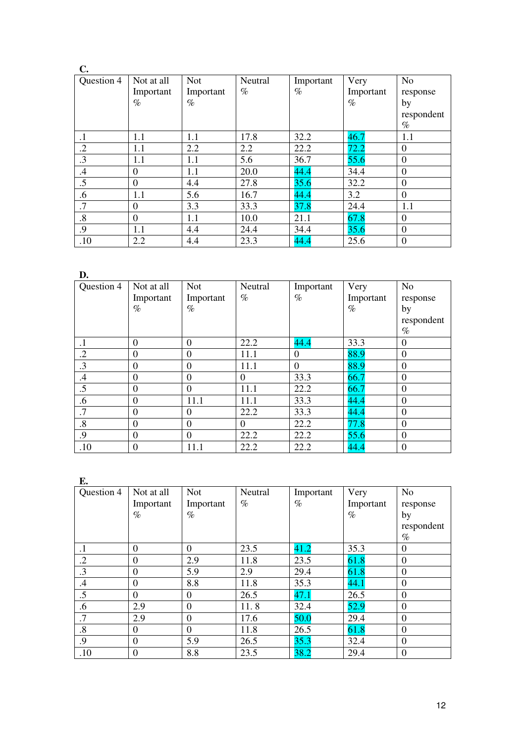| C.                |                |            |         |           |           |                  |
|-------------------|----------------|------------|---------|-----------|-----------|------------------|
| Question 4        | Not at all     | <b>Not</b> | Neutral | Important | Very      | N <sub>o</sub>   |
|                   | Important      | Important  | $\%$    | $\%$      | Important | response         |
|                   | $\%$           | $\%$       |         |           | $\%$      | by               |
|                   |                |            |         |           |           | respondent       |
|                   |                |            |         |           |           | $\%$             |
| $\cdot$ 1         | 1.1            | 1.1        | 17.8    | 32.2      | 46.7      | 1.1              |
| $\cdot$ .2        | 1.1            | 2.2        | 2.2     | 22.2      | 72.2      | $\overline{0}$   |
| .3                | 1.1            | 1.1        | 5.6     | 36.7      | 55.6      | $\overline{0}$   |
| $\mathcal{A}$     | $\theta$       | 1.1        | 20.0    | 44.4      | 34.4      | $\overline{0}$   |
| .5                | $\overline{0}$ | 4.4        | 27.8    | 35.6      | 32.2      | $\overline{0}$   |
| .6                | 1.1            | 5.6        | 16.7    | 44.4      | 3.2       | $\boldsymbol{0}$ |
| $\cdot$ 7         | $\overline{0}$ | 3.3        | 33.3    | 37.8      | 24.4      | 1.1              |
| $\boldsymbol{.8}$ | $\overline{0}$ | 1.1        | 10.0    | 21.1      | 67.8      | $\Omega$         |
| .9                | 1.1            | 4.4        | 24.4    | 34.4      | 35.6      | $\boldsymbol{0}$ |
| .10               | 2.2            | 4.4        | 23.3    | 44.4      | 25.6      | $\boldsymbol{0}$ |

**D.** 

| "∙                |                  |                |          |                  |           |                  |
|-------------------|------------------|----------------|----------|------------------|-----------|------------------|
| Question 4        | Not at all       | <b>Not</b>     | Neutral  | Important        | Very      | N <sub>o</sub>   |
|                   | Important        | Important      | $\%$     | $\%$             | Important | response         |
|                   | $\%$             | %              |          |                  | $\%$      | by               |
|                   |                  |                |          |                  |           | respondent       |
|                   |                  |                |          |                  |           | $\%$             |
| $\cdot$ 1         | $\theta$         | $\overline{0}$ | 22.2     | 44.4             | 33.3      | $\Omega$         |
| $\cdot$ .2        | $\overline{0}$   | $\Omega$       | 11.1     | $\boldsymbol{0}$ | 88.9      | $\overline{0}$   |
| .3                | $\theta$         | $\Omega$       | 11.1     | $\boldsymbol{0}$ | 88.9      | $\overline{0}$   |
| .4                | $\boldsymbol{0}$ | $\overline{0}$ | $\theta$ | 33.3             | 66.7      | $\boldsymbol{0}$ |
| .5                | $\boldsymbol{0}$ | $\overline{0}$ | 11.1     | 22.2             | 66.7      | $\boldsymbol{0}$ |
| .6                | $\theta$         | 11.1           | 11.1     | 33.3             | 44.4      | $\Omega$         |
| .7                | $\theta$         | $\Omega$       | 22.2     | 33.3             | 44.4      | $\overline{0}$   |
| $\boldsymbol{.8}$ | $\boldsymbol{0}$ | $\overline{0}$ | $\Omega$ | 22.2             | 77.8      | $\overline{0}$   |
| .9                | $\theta$         | $\overline{0}$ | 22.2     | 22.2             | 55.6      | $\boldsymbol{0}$ |
| .10               | $\boldsymbol{0}$ | 11.1           | 22.2     | 22.2             | 44.4      | $\boldsymbol{0}$ |

**E.** 

| Ŀ.                |                  |                |         |           |           |                |
|-------------------|------------------|----------------|---------|-----------|-----------|----------------|
| Question 4        | Not at all       | <b>Not</b>     | Neutral | Important | Very      | N <sub>o</sub> |
|                   | Important        | Important      | $\%$    | $\%$      | Important | response       |
|                   | $\%$             | $\%$           |         |           | $\%$      | by             |
|                   |                  |                |         |           |           | respondent     |
|                   |                  |                |         |           |           | $\%$           |
| $\cdot$           | $\mathbf{0}$     | $\theta$       | 23.5    | 41.2      | 35.3      | $\theta$       |
| $\cdot$ .2        | $\theta$         | 2.9            | 11.8    | 23.5      | 61.8      | $\overline{0}$ |
| $\cdot$ 3         | $\theta$         | 5.9            | 2.9     | 29.4      | 61.8      | $\overline{0}$ |
| $.4\phantom{0}$   | $\theta$         | 8.8            | 11.8    | 35.3      | 44.1      | $\Omega$       |
| .5                | $\overline{0}$   | $\theta$       | 26.5    | 47.1      | 26.5      | $\overline{0}$ |
| .6                | 2.9              | $\overline{0}$ | 11.8    | 32.4      | 52.9      | $\theta$       |
| $\overline{.7}$   | 2.9              | $\overline{0}$ | 17.6    | 50.0      | 29.4      | $\overline{0}$ |
| $\boldsymbol{.8}$ | $\Omega$         | $\overline{0}$ | 11.8    | 26.5      | 61.8      | $\overline{0}$ |
| .9                | $\overline{0}$   | 5.9            | 26.5    | 35.3      | 32.4      | $\overline{0}$ |
| .10               | $\boldsymbol{0}$ | 8.8            | 23.5    | 38.2      | 29.4      | $\theta$       |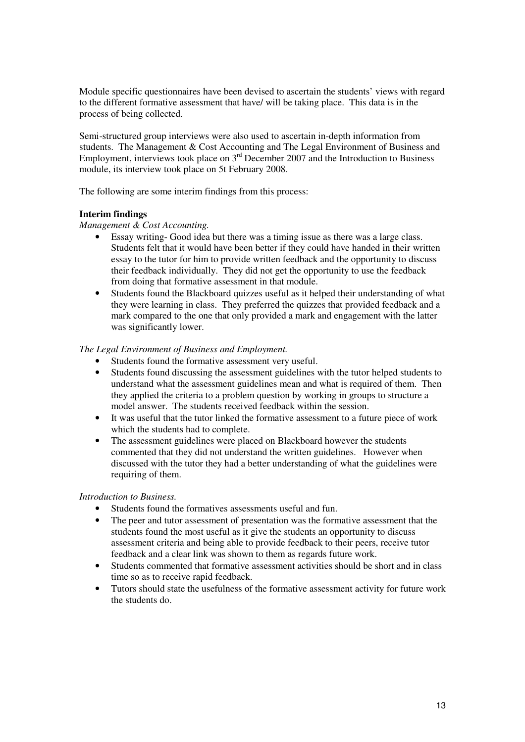Module specific questionnaires have been devised to ascertain the students' views with regard to the different formative assessment that have/ will be taking place. This data is in the process of being collected.

Semi-structured group interviews were also used to ascertain in-depth information from students. The Management & Cost Accounting and The Legal Environment of Business and Employment, interviews took place on 3rd December 2007 and the Introduction to Business module, its interview took place on 5t February 2008.

The following are some interim findings from this process:

# **Interim findings**

*Management & Cost Accounting.* 

- Essay writing- Good idea but there was a timing issue as there was a large class. Students felt that it would have been better if they could have handed in their written essay to the tutor for him to provide written feedback and the opportunity to discuss their feedback individually. They did not get the opportunity to use the feedback from doing that formative assessment in that module.
- Students found the Blackboard quizzes useful as it helped their understanding of what they were learning in class. They preferred the quizzes that provided feedback and a mark compared to the one that only provided a mark and engagement with the latter was significantly lower.

# *The Legal Environment of Business and Employment.*

- Students found the formative assessment very useful.
- Students found discussing the assessment guidelines with the tutor helped students to understand what the assessment guidelines mean and what is required of them. Then they applied the criteria to a problem question by working in groups to structure a model answer. The students received feedback within the session.
- It was useful that the tutor linked the formative assessment to a future piece of work which the students had to complete.
- The assessment guidelines were placed on Blackboard however the students commented that they did not understand the written guidelines. However when discussed with the tutor they had a better understanding of what the guidelines were requiring of them.

### *Introduction to Business.*

- Students found the formatives assessments useful and fun.
- The peer and tutor assessment of presentation was the formative assessment that the students found the most useful as it give the students an opportunity to discuss assessment criteria and being able to provide feedback to their peers, receive tutor feedback and a clear link was shown to them as regards future work.
- Students commented that formative assessment activities should be short and in class time so as to receive rapid feedback.
- Tutors should state the usefulness of the formative assessment activity for future work the students do.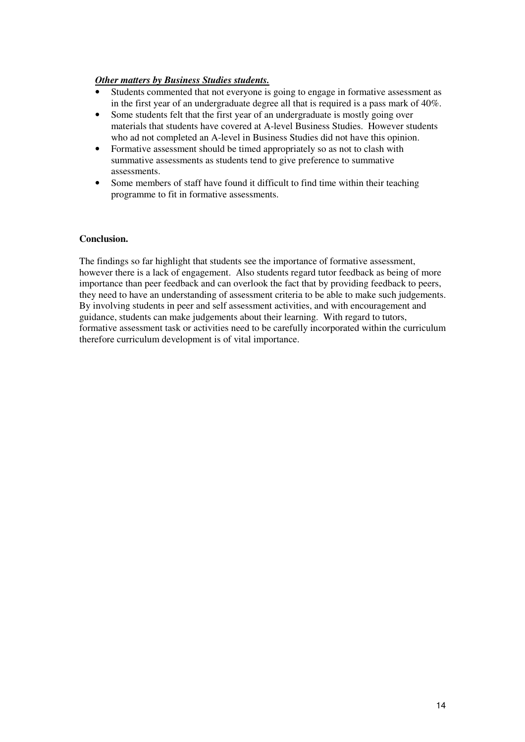# *Other matters by Business Studies students.*

- Students commented that not everyone is going to engage in formative assessment as in the first year of an undergraduate degree all that is required is a pass mark of 40%.
- Some students felt that the first year of an undergraduate is mostly going over materials that students have covered at A-level Business Studies. However students who ad not completed an A-level in Business Studies did not have this opinion.
- Formative assessment should be timed appropriately so as not to clash with summative assessments as students tend to give preference to summative assessments.
- Some members of staff have found it difficult to find time within their teaching programme to fit in formative assessments.

# **Conclusion.**

The findings so far highlight that students see the importance of formative assessment, however there is a lack of engagement. Also students regard tutor feedback as being of more importance than peer feedback and can overlook the fact that by providing feedback to peers, they need to have an understanding of assessment criteria to be able to make such judgements. By involving students in peer and self assessment activities, and with encouragement and guidance, students can make judgements about their learning. With regard to tutors, formative assessment task or activities need to be carefully incorporated within the curriculum therefore curriculum development is of vital importance.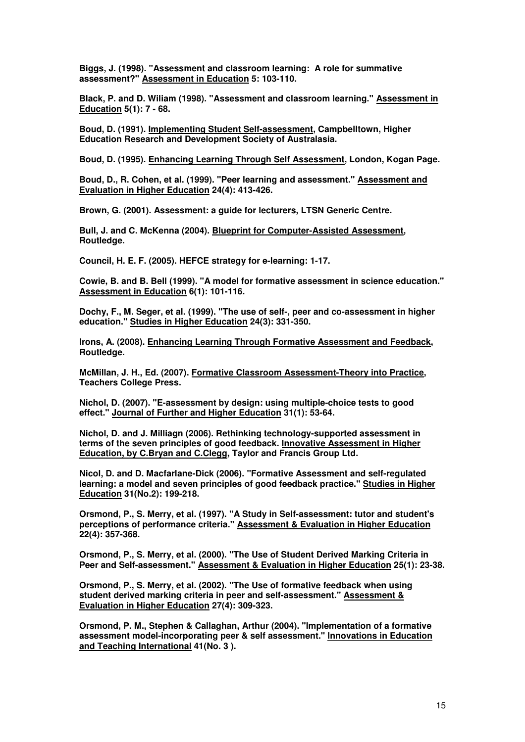**Biggs, J. (1998). "Assessment and classroom learning: A role for summative assessment?" Assessment in Education 5: 103-110.** 

**Black, P. and D. Wiliam (1998). "Assessment and classroom learning." Assessment in Education 5(1): 7 - 68.** 

**Boud, D. (1991). Implementing Student Self-assessment, Campbelltown, Higher Education Research and Development Society of Australasia.** 

**Boud, D. (1995). Enhancing Learning Through Self Assessment, London, Kogan Page.** 

**Boud, D., R. Cohen, et al. (1999). "Peer learning and assessment." Assessment and Evaluation in Higher Education 24(4): 413-426.** 

**Brown, G. (2001). Assessment: a guide for lecturers, LTSN Generic Centre.** 

**Bull, J. and C. McKenna (2004). Blueprint for Computer-Assisted Assessment, Routledge.** 

**Council, H. E. F. (2005). HEFCE strategy for e-learning: 1-17.** 

**Cowie, B. and B. Bell (1999). "A model for formative assessment in science education." Assessment in Education 6(1): 101-116.** 

**Dochy, F., M. Seger, et al. (1999). "The use of self-, peer and co-assessment in higher education." Studies in Higher Education 24(3): 331-350.** 

**Irons, A. (2008). Enhancing Learning Through Formative Assessment and Feedback, Routledge.** 

**McMillan, J. H., Ed. (2007). Formative Classroom Assessment-Theory into Practice, Teachers College Press.** 

**Nichol, D. (2007). "E-assessment by design: using multiple-choice tests to good effect." Journal of Further and Higher Education 31(1): 53-64.** 

**Nichol, D. and J. Milliagn (2006). Rethinking technology-supported assessment in terms of the seven principles of good feedback. Innovative Assessment in Higher Education, by C.Bryan and C.Clegg, Taylor and Francis Group Ltd.** 

**Nicol, D. and D. Macfarlane-Dick (2006). "Formative Assessment and self-regulated learning: a model and seven principles of good feedback practice." Studies in Higher Education 31(No.2): 199-218.** 

**Orsmond, P., S. Merry, et al. (1997). "A Study in Self-assessment: tutor and student's perceptions of performance criteria." Assessment & Evaluation in Higher Education 22(4): 357-368.** 

**Orsmond, P., S. Merry, et al. (2000). "The Use of Student Derived Marking Criteria in Peer and Self-assessment." Assessment & Evaluation in Higher Education 25(1): 23-38.** 

**Orsmond, P., S. Merry, et al. (2002). "The Use of formative feedback when using student derived marking criteria in peer and self-assessment." Assessment & Evaluation in Higher Education 27(4): 309-323.** 

**Orsmond, P. M., Stephen & Callaghan, Arthur (2004). "Implementation of a formative assessment model-incorporating peer & self assessment." Innovations in Education and Teaching International 41(No. 3 ).**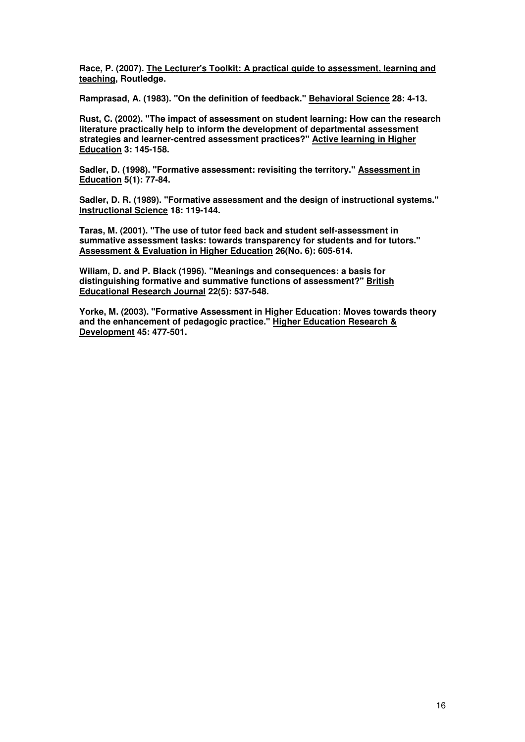**Race, P. (2007). The Lecturer's Toolkit: A practical guide to assessment, learning and teaching, Routledge.** 

**Ramprasad, A. (1983). "On the definition of feedback." Behavioral Science 28: 4-13.** 

**Rust, C. (2002). "The impact of assessment on student learning: How can the research literature practically help to inform the development of departmental assessment strategies and learner-centred assessment practices?" Active learning in Higher Education 3: 145-158.** 

**Sadler, D. (1998). "Formative assessment: revisiting the territory." Assessment in Education 5(1): 77-84.** 

**Sadler, D. R. (1989). "Formative assessment and the design of instructional systems." Instructional Science 18: 119-144.** 

**Taras, M. (2001). "The use of tutor feed back and student self-assessment in summative assessment tasks: towards transparency for students and for tutors." Assessment & Evaluation in Higher Education 26(No. 6): 605-614.** 

**Wiliam, D. and P. Black (1996). "Meanings and consequences: a basis for distinguishing formative and summative functions of assessment?" British Educational Research Journal 22(5): 537-548.** 

**Yorke, M. (2003). "Formative Assessment in Higher Education: Moves towards theory and the enhancement of pedagogic practice." Higher Education Research & Development 45: 477-501.**